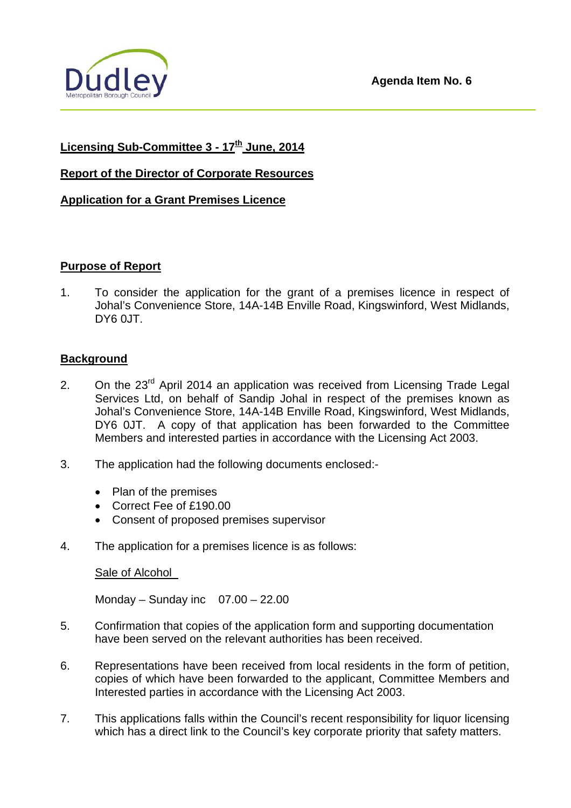

# **Licensing Sub-Committee 3 - 17th June, 2014**

## **Report of the Director of Corporate Resources**

### **Application for a Grant Premises Licence**

#### **Purpose of Report**

1. To consider the application for the grant of a premises licence in respect of Johal's Convenience Store, 14A-14B Enville Road, Kingswinford, West Midlands, DY6 0JT.

#### **Background**

- 2. On the 23<sup>rd</sup> April 2014 an application was received from Licensing Trade Legal Services Ltd, on behalf of Sandip Johal in respect of the premises known as Johal's Convenience Store, 14A-14B Enville Road, Kingswinford, West Midlands, DY6 0JT. A copy of that application has been forwarded to the Committee Members and interested parties in accordance with the Licensing Act 2003.
- 3. The application had the following documents enclosed:-
	- Plan of the premises
	- Correct Fee of £190.00
	- Consent of proposed premises supervisor
- 4. The application for a premises licence is as follows:

Sale of Alcohol

Monday – Sunday inc  $07.00 - 22.00$ 

- 5. Confirmation that copies of the application form and supporting documentation have been served on the relevant authorities has been received.
- 6. Representations have been received from local residents in the form of petition, copies of which have been forwarded to the applicant, Committee Members and Interested parties in accordance with the Licensing Act 2003.
- 7. This applications falls within the Council's recent responsibility for liquor licensing which has a direct link to the Council's key corporate priority that safety matters.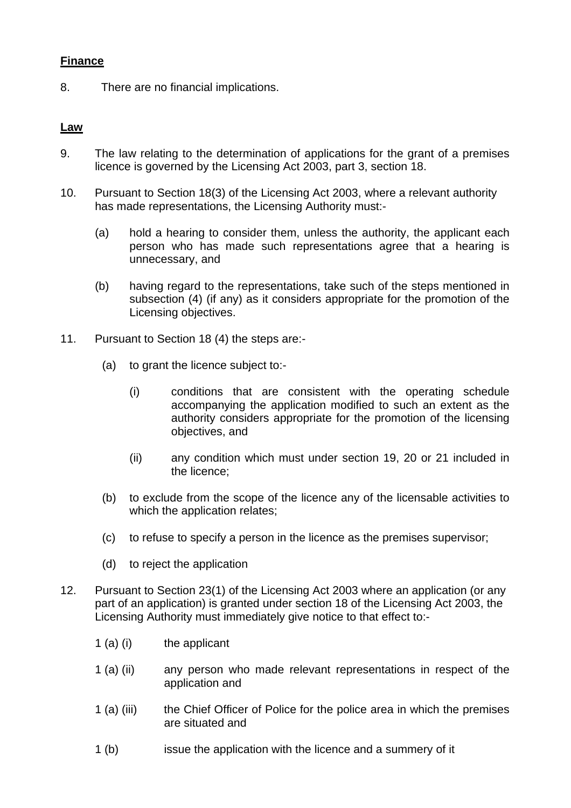## **Finance**

8. There are no financial implications.

### **Law**

- 9. The law relating to the determination of applications for the grant of a premises licence is governed by the Licensing Act 2003, part 3, section 18.
- 10. Pursuant to Section 18(3) of the Licensing Act 2003, where a relevant authority has made representations, the Licensing Authority must:-
	- (a) hold a hearing to consider them, unless the authority, the applicant each person who has made such representations agree that a hearing is unnecessary, and
	- (b) having regard to the representations, take such of the steps mentioned in subsection (4) (if any) as it considers appropriate for the promotion of the Licensing objectives.
- 11. Pursuant to Section 18 (4) the steps are:-
	- (a) to grant the licence subject to:-
		- (i) conditions that are consistent with the operating schedule accompanying the application modified to such an extent as the authority considers appropriate for the promotion of the licensing objectives, and
		- (ii) any condition which must under section 19, 20 or 21 included in the licence;
	- (b) to exclude from the scope of the licence any of the licensable activities to which the application relates;
	- (c) to refuse to specify a person in the licence as the premises supervisor;
	- (d) to reject the application
- 12. Pursuant to Section 23(1) of the Licensing Act 2003 where an application (or any part of an application) is granted under section 18 of the Licensing Act 2003, the Licensing Authority must immediately give notice to that effect to:-
	- 1 (a) (i) the applicant
	- 1 (a) (ii) any person who made relevant representations in respect of the application and
	- 1 (a) (iii) the Chief Officer of Police for the police area in which the premises are situated and
	- 1 (b) issue the application with the licence and a summery of it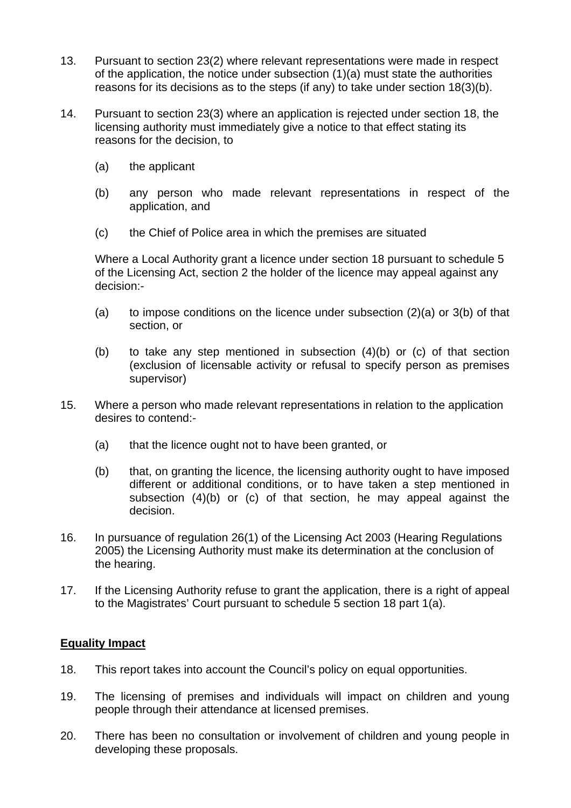- 13. Pursuant to section 23(2) where relevant representations were made in respect of the application, the notice under subsection (1)(a) must state the authorities reasons for its decisions as to the steps (if any) to take under section 18(3)(b).
- 14. Pursuant to section 23(3) where an application is rejected under section 18, the licensing authority must immediately give a notice to that effect stating its reasons for the decision, to
	- (a) the applicant
	- (b) any person who made relevant representations in respect of the application, and
	- (c) the Chief of Police area in which the premises are situated

Where a Local Authority grant a licence under section 18 pursuant to schedule 5 of the Licensing Act, section 2 the holder of the licence may appeal against any decision:-

- (a) to impose conditions on the licence under subsection  $(2)(a)$  or 3(b) of that section, or
- (b) to take any step mentioned in subsection (4)(b) or (c) of that section (exclusion of licensable activity or refusal to specify person as premises supervisor)
- 15. Where a person who made relevant representations in relation to the application desires to contend:-
	- (a) that the licence ought not to have been granted, or
	- (b) that, on granting the licence, the licensing authority ought to have imposed different or additional conditions, or to have taken a step mentioned in subsection (4)(b) or (c) of that section, he may appeal against the decision.
- 16. In pursuance of regulation 26(1) of the Licensing Act 2003 (Hearing Regulations 2005) the Licensing Authority must make its determination at the conclusion of the hearing.
- 17. If the Licensing Authority refuse to grant the application, there is a right of appeal to the Magistrates' Court pursuant to schedule 5 section 18 part 1(a).

#### **Equality Impact**

- 18. This report takes into account the Council's policy on equal opportunities.
- 19. The licensing of premises and individuals will impact on children and young people through their attendance at licensed premises.
- 20. There has been no consultation or involvement of children and young people in developing these proposals.